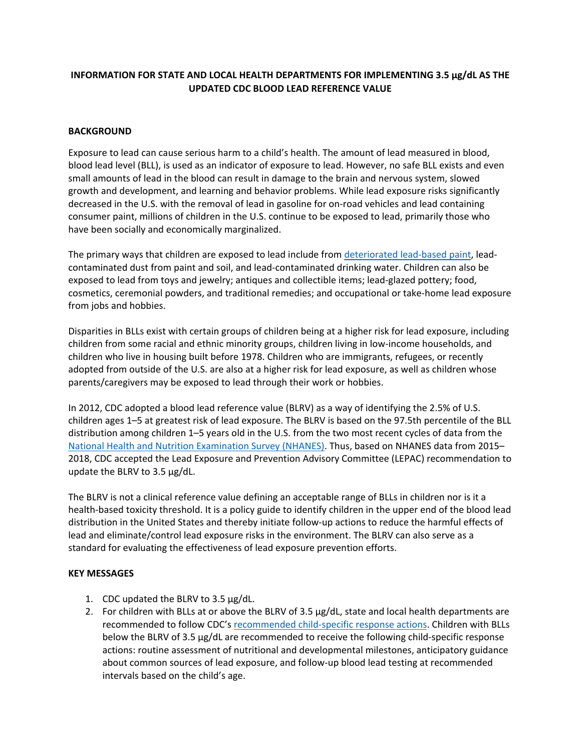# **INFORMATION FOR STATE AND LOCAL HEALTH DEPARTMENTS FOR IMPLEMENTING 3.5 μg/dL AS THE UPDATED CDC BLOOD LEAD REFERENCE VALUE**

### **BACKGROUND**

Exposure to lead can cause serious harm to a child's health. The amount of lead measured in blood, blood lead level (BLL), is used as an indicator of exposure to lead. However, no safe BLL exists and even small amounts of lead in the blood can result in damage to the brain and nervous system, slowed growth and development, and learning and behavior problems. While lead exposure risks significantly decreased in the U.S. with the removal of lead in gasoline for on-road vehicles and lead containing consumer paint, millions of children in the U.S. continue to be exposed to lead, primarily those who have been socially and economically marginalized.

The primary ways that children are exposed to lead include from [deteriorated lead-based paint,](https://www.cdc.gov/nceh/lead/prevention/sources/paint.htm) leadcontaminated dust from paint and soil, and lead-contaminated drinking water. Children can also be exposed to lead from toys and jewelry; antiques and collectible items; lead-glazed pottery; food, cosmetics, ceremonial powders, and traditional remedies; and occupational or take-home lead exposure from jobs and hobbies.

Disparities in BLLs exist with certain groups of children being at a higher risk for lead exposure, including children from some racial and ethnic minority groups, children living in low-income households, and children who live in housing built before 1978. Children who are immigrants, refugees, or recently adopted from outside of the U.S. are also at a higher risk for lead exposure, as well as children whose parents/caregivers may be exposed to lead through their work or hobbies.

In 2012, CDC adopted a blood lead reference value (BLRV) as a way of identifying the 2.5% of U.S. children ages 1–5 at greatest risk of lead exposure. The BLRV is based on the 97.5th percentile of the BLL distribution among children 1–5 years old in the U.S. from the two most recent cycles of data from the [National Health and Nutrition Examination Survey \(NHANES\).](https://www.cdc.gov/nchs/nhanes/index.htm) Thus, based on NHANES data from 2015– 2018, CDC accepted the Lead Exposure and Prevention Advisory Committee (LEPAC) recommendation to update the BLRV to 3.5 μg/dL.

The BLRV is not a clinical reference value defining an acceptable range of BLLs in children nor is it a health-based toxicity threshold. It is a policy guide to identify children in the upper end of the blood lead distribution in the United States and thereby initiate follow-up actions to reduce the harmful effects of lead and eliminate/control lead exposure risks in the environment. The BLRV can also serve as a standard for evaluating the effectiveness of lead exposure prevention efforts.

#### **KEY MESSAGES**

- 1. CDC updated the BLRV to 3.5 μg/dL.
- 2. For children with BLLs at or above the BLRV of 3.5  $\mu$ g/dL, state and local health departments are recommended to follow CDC's [recommended child-specific response actions.](https://www.cdc.gov/nceh/lead/advisory/acclpp/actions-blls.htm) Children with BLLs below the BLRV of 3.5 μg/dL are recommended to receive the following child-specific response actions: routine assessment of nutritional and developmental milestones, anticipatory guidance about common sources of lead exposure, and follow-up blood lead testing at recommended intervals based on the child's age.